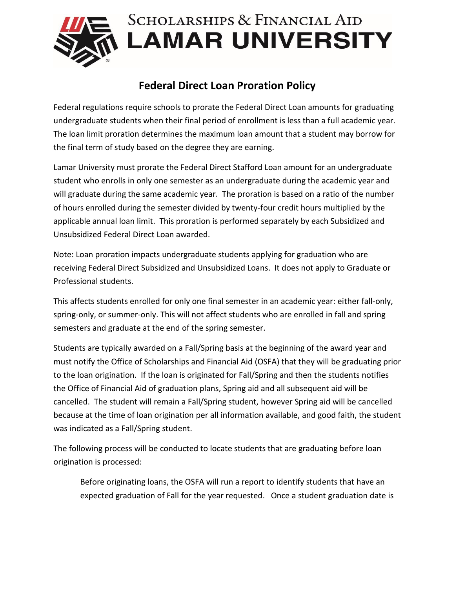

## **Federal Direct Loan Proration Policy**

Federal regulations require schools to prorate the Federal Direct Loan amounts for graduating undergraduate students when their final period of enrollment is less than a full academic year. The loan limit proration determines the maximum loan amount that a student may borrow for the final term of study based on the degree they are earning.

Lamar University must prorate the Federal Direct Stafford Loan amount for an undergraduate student who enrolls in only one semester as an undergraduate during the academic year and will graduate during the same academic year. The proration is based on a ratio of the number of hours enrolled during the semester divided by twenty-four credit hours multiplied by the applicable annual loan limit. This proration is performed separately by each Subsidized and Unsubsidized Federal Direct Loan awarded.

Note: Loan proration impacts undergraduate students applying for graduation who are receiving Federal Direct Subsidized and Unsubsidized Loans. It does not apply to Graduate or Professional students.

This affects students enrolled for only one final semester in an academic year: either fall-only, spring-only, or summer-only. This will not affect students who are enrolled in fall and spring semesters and graduate at the end of the spring semester.

Students are typically awarded on a Fall/Spring basis at the beginning of the award year and must notify the Office of Scholarships and Financial Aid (OSFA) that they will be graduating prior to the loan origination. If the loan is originated for Fall/Spring and then the students notifies the Office of Financial Aid of graduation plans, Spring aid and all subsequent aid will be cancelled. The student will remain a Fall/Spring student, however Spring aid will be cancelled because at the time of loan origination per all information available, and good faith, the student was indicated as a Fall/Spring student.

The following process will be conducted to locate students that are graduating before loan origination is processed:

Before originating loans, the OSFA will run a report to identify students that have an expected graduation of Fall for the year requested. Once a student graduation date is